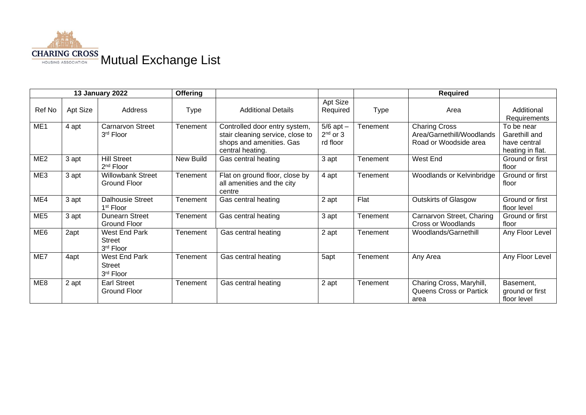

| 13 January 2022 |          |                                                    | <b>Offering</b> |                                                                                                                   |                                                  |             | <b>Required</b>                                                            |                                                                 |
|-----------------|----------|----------------------------------------------------|-----------------|-------------------------------------------------------------------------------------------------------------------|--------------------------------------------------|-------------|----------------------------------------------------------------------------|-----------------------------------------------------------------|
| Ref No          | Apt Size | Address                                            | <b>Type</b>     | <b>Additional Details</b>                                                                                         | Apt Size<br>Required                             | <b>Type</b> | Area                                                                       | Additional<br>Requirements                                      |
| ME <sub>1</sub> | 4 apt    | <b>Carnarvon Street</b><br>3rd Floor               | Tenement        | Controlled door entry system,<br>stair cleaning service, close to<br>shops and amenities. Gas<br>central heating. | $\overline{5/6}$ apt –<br>$2nd$ or 3<br>rd floor | Tenement    | <b>Charing Cross</b><br>Area/Garnethill/Woodlands<br>Road or Woodside area | To be near<br>Garethill and<br>have central<br>heating in flat. |
| ME <sub>2</sub> | 3 apt    | <b>Hill Street</b><br>2 <sup>nd</sup> Floor        | New Build       | Gas central heating                                                                                               | 3 apt                                            | Tenement    | West End                                                                   | Ground or first<br>floor                                        |
| ME3             | 3 apt    | <b>Willowbank Street</b><br><b>Ground Floor</b>    | Tenement        | Flat on ground floor, close by<br>all amenities and the city<br>centre                                            | 4 apt                                            | Tenement    | Woodlands or Kelvinbridge                                                  | Ground or first<br>floor                                        |
| ME4             | 3 apt    | <b>Dalhousie Street</b><br>1 <sup>st</sup> Floor   | Tenement        | Gas central heating                                                                                               | 2 apt                                            | Flat        | <b>Outskirts of Glasgow</b>                                                | Ground or first<br>floor level                                  |
| ME <sub>5</sub> | 3 apt    | <b>Dunearn Street</b><br><b>Ground Floor</b>       | Tenement        | Gas central heating                                                                                               | 3 apt                                            | Tenement    | Carnarvon Street, Charing<br>Cross or Woodlands                            | Ground or first<br>floor                                        |
| ME <sub>6</sub> | 2apt     | West End Park<br>Street<br>3rd Floor               | Tenement        | Gas central heating                                                                                               | 2 apt                                            | Tenement    | Woodlands/Garnethill                                                       | Any Floor Level                                                 |
| ME7             | 4apt     | <b>West End Park</b><br><b>Street</b><br>3rd Floor | Tenement        | Gas central heating                                                                                               | 5apt                                             | Tenement    | Any Area                                                                   | Any Floor Level                                                 |
| ME8             | 2 apt    | <b>Earl Street</b><br>Ground Floor                 | Tenement        | Gas central heating                                                                                               | 2 apt                                            | Tenement    | Charing Cross, Maryhill,<br><b>Queens Cross or Partick</b><br>area         | Basement,<br>ground or first<br>floor level                     |